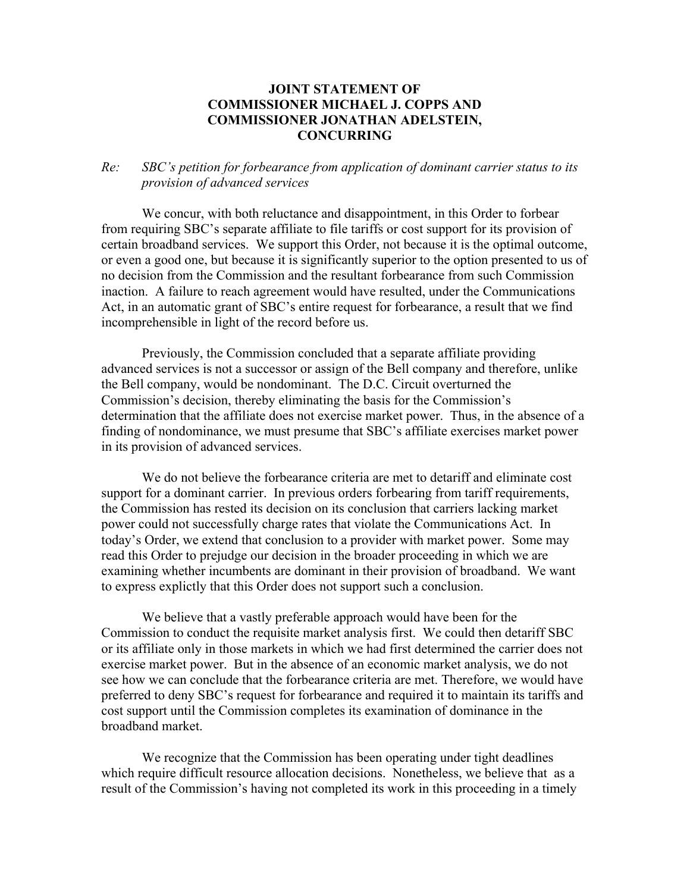## **JOINT STATEMENT OF COMMISSIONER MICHAEL J. COPPS AND COMMISSIONER JONATHAN ADELSTEIN, CONCURRING**

## *Re: SBC's petition for forbearance from application of dominant carrier status to its provision of advanced services*

 We concur, with both reluctance and disappointment, in this Order to forbear from requiring SBC's separate affiliate to file tariffs or cost support for its provision of certain broadband services. We support this Order, not because it is the optimal outcome, or even a good one, but because it is significantly superior to the option presented to us of no decision from the Commission and the resultant forbearance from such Commission inaction. A failure to reach agreement would have resulted, under the Communications Act, in an automatic grant of SBC's entire request for forbearance, a result that we find incomprehensible in light of the record before us.

Previously, the Commission concluded that a separate affiliate providing advanced services is not a successor or assign of the Bell company and therefore, unlike the Bell company, would be nondominant. The D.C. Circuit overturned the Commission's decision, thereby eliminating the basis for the Commission's determination that the affiliate does not exercise market power. Thus, in the absence of a finding of nondominance, we must presume that SBC's affiliate exercises market power in its provision of advanced services.

We do not believe the forbearance criteria are met to detariff and eliminate cost support for a dominant carrier. In previous orders forbearing from tariff requirements, the Commission has rested its decision on its conclusion that carriers lacking market power could not successfully charge rates that violate the Communications Act. In today's Order, we extend that conclusion to a provider with market power. Some may read this Order to prejudge our decision in the broader proceeding in which we are examining whether incumbents are dominant in their provision of broadband. We want to express explictly that this Order does not support such a conclusion.

We believe that a vastly preferable approach would have been for the Commission to conduct the requisite market analysis first. We could then detariff SBC or its affiliate only in those markets in which we had first determined the carrier does not exercise market power. But in the absence of an economic market analysis, we do not see how we can conclude that the forbearance criteria are met. Therefore, we would have preferred to deny SBC's request for forbearance and required it to maintain its tariffs and cost support until the Commission completes its examination of dominance in the broadband market.

We recognize that the Commission has been operating under tight deadlines which require difficult resource allocation decisions. Nonetheless, we believe that as a result of the Commission's having not completed its work in this proceeding in a timely